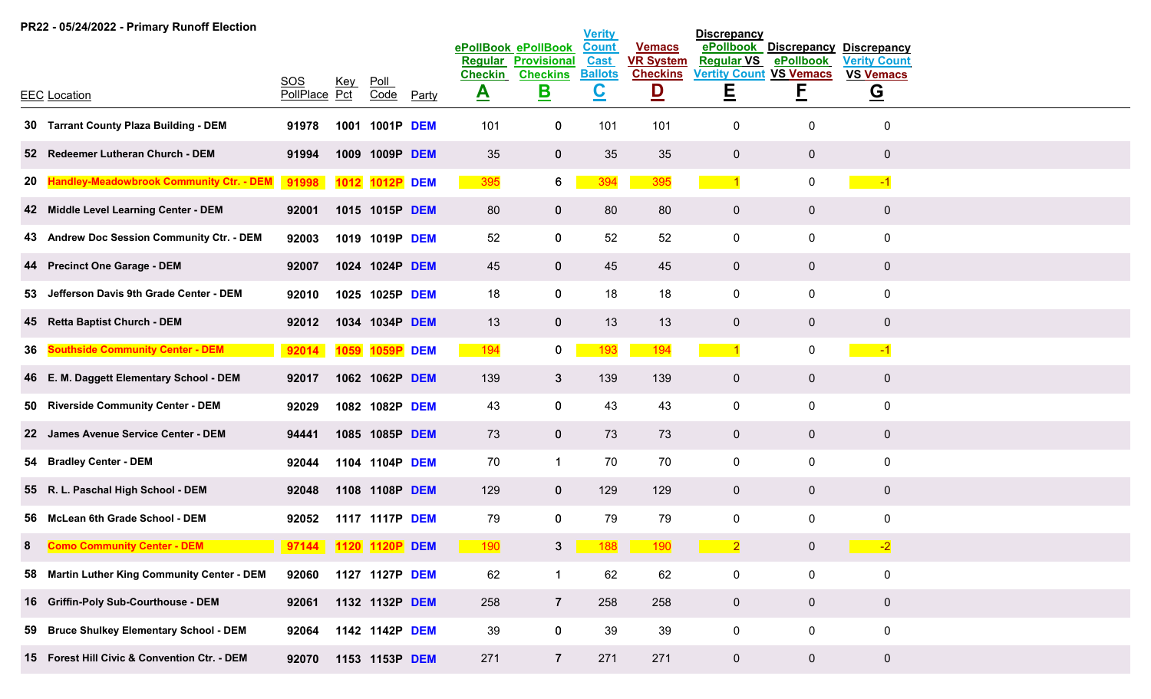|     | PR22 - 05/24/2022 - Primary Runoff Election     |                      |            |                |            |                |                                           | <b>Verity</b>               |                                   | <b>Discrepancy</b>             |                                 |                                           |  |
|-----|-------------------------------------------------|----------------------|------------|----------------|------------|----------------|-------------------------------------------|-----------------------------|-----------------------------------|--------------------------------|---------------------------------|-------------------------------------------|--|
|     |                                                 |                      |            |                |            | Regular        | ePollBook ePollBook<br><b>Provisional</b> | <b>Count</b><br><b>Cast</b> | <b>Vemacs</b><br><b>VR System</b> | ePollbook<br><b>Regular VS</b> | <b>Discrepancy</b><br>ePollbook | <b>Discrepancy</b><br><b>Verity Count</b> |  |
|     |                                                 | SOS                  | <u>Key</u> | $P$ oll        |            | <b>Checkin</b> | <b>Checkins</b>                           | <b>Ballots</b>              | <b>Checkins</b>                   | <b>Vertity Count VS Vemacs</b> |                                 | <b>VS Vemacs</b>                          |  |
|     | <b>EEC</b> Location                             | PollPlace Pct        |            | Code           | Party      | $\triangle$    | <u>B</u>                                  | $\underline{\mathbf{C}}$    | $\overline{\mathsf{D}}$           | Ε                              | E                               | $\overline{G}$                            |  |
|     | 30 Tarrant County Plaza Building - DEM          | 91978                | 1001       | 1001P          | <b>DEM</b> | 101            | $\bf{0}$                                  | 101                         | 101                               | $\mathbf 0$                    | 0                               | 0                                         |  |
|     | 52 Redeemer Lutheran Church - DEM               | 91994                |            | 1009 1009P DEM |            | 35             | $\mathbf 0$                               | 35                          | 35                                | $\mathbf 0$                    | $\overline{0}$                  | $\mathbf 0$                               |  |
| 20  | <b>Handley-Meadowbrook Community Ctr. - DEM</b> | 91998                | 1012       | 1012P          | <b>DEM</b> | 395            | $6\overline{6}$                           | 394                         | 395                               | -1                             | $\mathbf 0$                     | $-1$                                      |  |
|     | 42 Middle Level Learning Center - DEM           | 92001                |            | 1015 1015P DEM |            | 80             | $\mathbf{0}$                              | 80                          | 80                                | $\overline{0}$                 | $\overline{0}$                  | $\mathbf 0$                               |  |
|     | 43 Andrew Doc Session Community Ctr. - DEM      | 92003                |            | 1019 1019P DEM |            | 52             | $\mathbf 0$                               | 52                          | 52                                | $\mathbf 0$                    | $\mathbf 0$                     | $\mathbf 0$                               |  |
|     | 44 Precinct One Garage - DEM                    | 92007                |            | 1024 1024P DEM |            | 45             | $\mathbf{0}$                              | 45                          | 45                                | $\overline{0}$                 | $\overline{0}$                  | $\pmb{0}$                                 |  |
| 53. | Jefferson Davis 9th Grade Center - DEM          | 92010                |            | 1025 1025P DEM |            | 18             | $\mathbf 0$                               | 18                          | 18                                | $\mathbf 0$                    | $\mathbf 0$                     | $\mathbf 0$                               |  |
|     | 45 Retta Baptist Church - DEM                   | 92012                |            | 1034 1034P DEM |            | 13             | $\bf{0}$                                  | 13                          | 13                                | $\overline{0}$                 | $\overline{0}$                  | $\mathbf 0$                               |  |
| 36  | <b>Southside Community Center - DEM</b>         | 92014                | 1059       | <b>1059P</b>   | <b>DEM</b> | 194            | $\mathbf{0}$                              | 193                         | 194                               |                                | $\mathbf 0$                     | $-1$                                      |  |
|     | 46 E. M. Daggett Elementary School - DEM        | 92017                |            | 1062 1062P DEM |            | 139            | $\mathbf{3}$                              | 139                         | 139                               | $\overline{0}$                 | $\overline{0}$                  | $\mathbf 0$                               |  |
|     | 50 Riverside Community Center - DEM             | 92029                |            | 1082 1082P DEM |            | 43             | $\mathbf 0$                               | 43                          | 43                                | $\mathbf 0$                    | 0                               | $\mathbf 0$                               |  |
|     | 22 James Avenue Service Center - DEM            | 94441                |            | 1085 1085P DEM |            | 73             | $\bf{0}$                                  | 73                          | 73                                | $\overline{0}$                 | $\mathbf 0$                     | $\mathbf 0$                               |  |
|     | 54 Bradley Center - DEM                         | 92044                |            | 1104 1104P DEM |            | 70             | $\mathbf 1$                               | 70                          | 70                                | $\mathbf 0$                    | 0                               | $\mathbf 0$                               |  |
|     | 55 R. L. Paschal High School - DEM              | 92048                |            | 1108 1108P DEM |            | 129            | $\mathbf 0$                               | 129                         | 129                               | $\overline{0}$                 | $\mathbf 0$                     | $\mathbf 0$                               |  |
|     | 56 McLean 6th Grade School - DEM                | 92052                |            | 1117 1117P DEM |            | 79             | $\mathbf 0$                               | 79                          | 79                                | $\mathbf 0$                    | 0                               | $\pmb{0}$                                 |  |
| 8   | <b>Como Community Center - DEM</b>              | 97144 1120 1120P DEM |            |                |            | 190            | $\mathbf{3}$                              | 188                         | 190                               | $\overline{2}$                 | $\mathbf 0$                     | $-2$                                      |  |
|     | 58 Martin Luther King Community Center - DEM    | 92060                |            | 1127 1127P DEM |            | 62             | $\mathbf{1}$                              | 62                          | 62                                | $\mathbf 0$                    | $\mathbf 0$                     | $\pmb{0}$                                 |  |
|     | 16 Griffin-Poly Sub-Courthouse - DEM            | 92061                |            | 1132 1132P DEM |            | 258            | $\overline{7}$                            | 258                         | 258                               | $\overline{0}$                 | $\overline{0}$                  | $\mathbf 0$                               |  |
|     | 59 Bruce Shulkey Elementary School - DEM        | 92064                |            | 1142 1142P DEM |            | 39             | $\mathbf 0$                               | 39                          | 39                                | $\mathbf 0$                    | $\mathbf 0$                     | $\mathbf 0$                               |  |
|     | 15 Forest Hill Civic & Convention Ctr. - DEM    | 92070                |            | 1153 1153P DEM |            | 271            | $\overline{7}$                            | 271                         | 271                               | $\overline{0}$                 | $\overline{0}$                  | $\overline{0}$                            |  |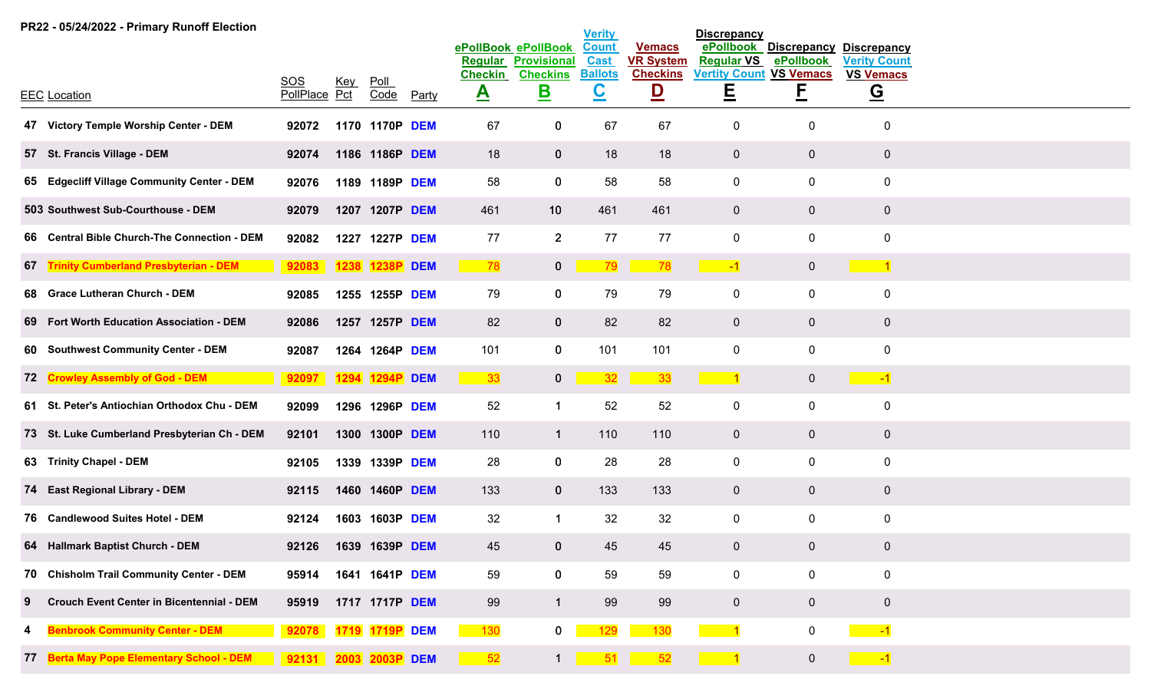|   | PR22 - 05/24/2022 - Primary Runoff Election      |                      |            |                |            |                |                                           | <b>Verity</b>               |                                   | <b>Discrepancy</b>             |                                 |                                           |  |
|---|--------------------------------------------------|----------------------|------------|----------------|------------|----------------|-------------------------------------------|-----------------------------|-----------------------------------|--------------------------------|---------------------------------|-------------------------------------------|--|
|   |                                                  |                      |            |                |            | Regular        | ePollBook ePollBook<br><b>Provisional</b> | <b>Count</b><br><b>Cast</b> | <b>Vemacs</b><br><b>VR System</b> | ePollbook<br><b>Regular VS</b> | <b>Discrepancy</b><br>ePollbook | <b>Discrepancy</b><br><b>Verity Count</b> |  |
|   |                                                  | SOS                  | <u>Key</u> | $P$ oll        |            | <b>Checkin</b> | <b>Checkins</b>                           | <b>Ballots</b>              | <b>Checkins</b>                   | <b>Vertity Count</b>           | <b>VS Vemacs</b>                | <b>VS Vemacs</b>                          |  |
|   | <b>EEC</b> Location                              | PollPlace Pct        |            | Code           | Party      | $\triangle$    | <u>B</u>                                  | <u>င</u>                    | $\overline{\mathsf{D}}$           | Ē                              | <u>E</u>                        | $\overline{G}$                            |  |
|   | 47 Victory Temple Worship Center - DEM           | 92072                |            | 1170 1170P     | <b>DEM</b> | 67             | $\bf{0}$                                  | 67                          | 67                                | $\boldsymbol{0}$               | 0                               | $\mathbf 0$                               |  |
|   | 57 St. Francis Village - DEM                     | 92074                |            | 1186 1186P DEM |            | 18             | $\mathbf 0$                               | 18                          | 18                                | $\overline{0}$                 | $\mathbf 0$                     | $\overline{0}$                            |  |
|   | 65 Edgecliff Village Community Center - DEM      | 92076                |            | 1189 1189P DEM |            | 58             | $\mathbf 0$                               | 58                          | 58                                | $\mathbf 0$                    | $\pmb{0}$                       | $\boldsymbol{0}$                          |  |
|   | 503 Southwest Sub-Courthouse - DEM               | 92079                |            | 1207 1207P DEM |            | 461            | 10 <sup>°</sup>                           | 461                         | 461                               | $\overline{0}$                 | $\mathbf 0$                     | $\overline{0}$                            |  |
|   | 66 Central Bible Church-The Connection - DEM     | 92082                | 1227       | 1227P DEM      |            | 77             | $2^{\circ}$                               | 77                          | 77                                | $\mathbf 0$                    | $\pmb{0}$                       | $\pmb{0}$                                 |  |
|   | 67 Trinity Cumberland Presbyterian - DEM         | 92083                |            | 1238 1238P DEM |            | 78             | $\mathbf{0}$                              | 79                          | 78                                | $-1$                           | $\mathbf 0$                     | $\sim$ 1                                  |  |
|   | 68 Grace Lutheran Church - DEM                   | 92085                |            | 1255 1255P DEM |            | 79             | $\mathbf 0$                               | 79                          | 79                                | $\mathbf 0$                    | $\mathbf 0$                     | $\pmb{0}$                                 |  |
|   | 69 Fort Worth Education Association - DEM        | 92086                |            | 1257 1257P DEM |            | 82             | $\mathbf{0}$                              | 82                          | 82                                | $\mathbf{0}$                   | $\mathbf 0$                     | $\overline{0}$                            |  |
|   | 60 Southwest Community Center - DEM              | 92087                |            | 1264 1264P DEM |            | 101            | $\mathbf 0$                               | 101                         | 101                               | 0                              | 0                               | $\pmb{0}$                                 |  |
|   | 72 Crowley Assembly of God - DEM                 | 92097 1294 1294P DEM |            |                |            | 33             | $\mathbf{0}$                              | 32                          | 33                                | $\vert$ 1                      | $\overline{0}$                  | $\sim$ $-1$                               |  |
|   | 61 St. Peter's Antiochian Orthodox Chu - DEM     | 92099                |            | 1296 1296P DEM |            | 52             | $\mathbf 1$                               | 52                          | 52                                | 0                              | 0                               | $\pmb{0}$                                 |  |
|   | 73 St. Luke Cumberland Presbyterian Ch - DEM     | 92101                |            | 1300 1300P DEM |            | 110            | $\overline{1}$                            | 110                         | 110                               | $\mathbf{0}$                   | $\mathbf 0$                     | $\overline{0}$                            |  |
|   | 63 Trinity Chapel - DEM                          | 92105                |            | 1339 1339P DEM |            | 28             | $\mathbf 0$                               | 28                          | 28                                | 0                              | 0                               | $\pmb{0}$                                 |  |
|   | 74 East Regional Library - DEM                   | 92115                |            | 1460 1460P DEM |            | 133            | $\mathbf 0$                               | 133                         | 133                               | $\mathbf{0}$                   | $\mathbf 0$                     | $\overline{0}$                            |  |
|   | 76 Candlewood Suites Hotel - DEM                 | 92124                | 1603       | 1603P DEM      |            | 32             | $\mathbf 1$                               | 32                          | 32                                | $\mathsf{O}$                   | $\pmb{0}$                       | $\pmb{0}$                                 |  |
|   | 64 Hallmark Baptist Church - DEM                 | 92126                |            | 1639 1639P DEM |            | 45             | $\bf{0}$                                  | 45                          | 45                                | $\overline{0}$                 | $\mathbf 0$                     | $\mathbf 0$                               |  |
|   | 70 Chisholm Trail Community Center - DEM         | 95914                |            | 1641 1641P DEM |            | 59             | $\mathbf 0$                               | 59                          | 59                                | $\mathbf 0$                    | $\mathbf 0$                     | $\boldsymbol{0}$                          |  |
| 9 | <b>Crouch Event Center in Bicentennial - DEM</b> | 95919                |            | 1717 1717P DEM |            | 99             | $\mathbf{1}$                              | 99                          | 99                                | $\overline{0}$                 | $\overline{0}$                  | $\overline{0}$                            |  |
| 4 | <b>Benbrook Community Center - DEM</b>           | 92078                |            | 1719 1719P DEM |            | 130            | $\mathbf{0}$                              | 129                         | 130                               | $\sim$ 1                       | 0                               | $\sim$ $-1$                               |  |
|   | 77 Berta May Pope Elementary School - DEM        | 92131 2003 2003P DEM |            |                |            | 52             | $\mathbf 1$                               | 51                          | 52                                | $\sim$ 1                       | $\overline{0}$                  | $\sim$ -1                                 |  |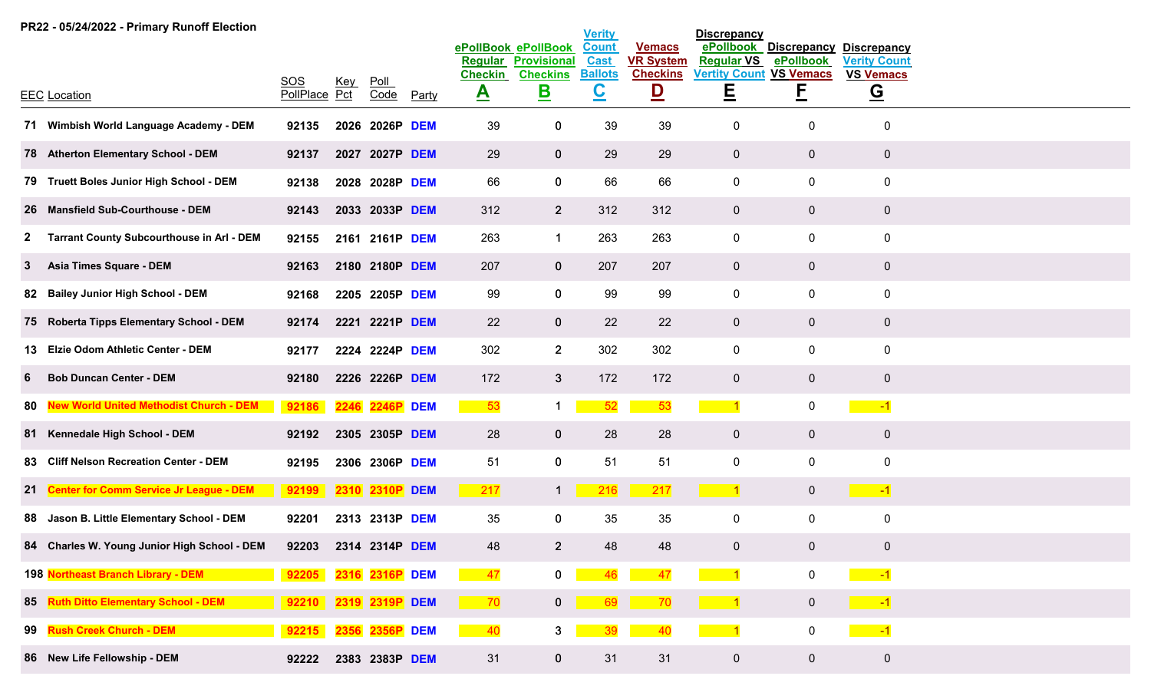|              | PR22 - 05/24/2022 - Primary Runoff Election      |                      |      |                     |            |                                                                                                                             |                                           | <b>Verity</b>               |                                   | <b>Discrepancy</b>                                                                                                                                                                                                                                                                                                                                                                                                                                                                         |                                 |                                           |
|--------------|--------------------------------------------------|----------------------|------|---------------------|------------|-----------------------------------------------------------------------------------------------------------------------------|-------------------------------------------|-----------------------------|-----------------------------------|--------------------------------------------------------------------------------------------------------------------------------------------------------------------------------------------------------------------------------------------------------------------------------------------------------------------------------------------------------------------------------------------------------------------------------------------------------------------------------------------|---------------------------------|-------------------------------------------|
|              |                                                  |                      |      |                     |            | <b>Regular</b>                                                                                                              | ePollBook ePollBook<br><b>Provisional</b> | <b>Count</b><br><b>Cast</b> | <b>Vemacs</b><br><b>VR System</b> | ePollbook<br><b>Regular VS</b>                                                                                                                                                                                                                                                                                                                                                                                                                                                             | <b>Discrepancy</b><br>ePollbook | <b>Discrepancy</b><br><b>Verity Count</b> |
|              |                                                  | SOS                  |      |                     |            | <b>Checkin</b>                                                                                                              | <b>Checkins</b>                           | <b>Ballots</b>              | <b>Checkins</b>                   | <b>Vertity Count VS Vemacs</b>                                                                                                                                                                                                                                                                                                                                                                                                                                                             |                                 | <b>VS Vemacs</b>                          |
|              | <b>EEC Location</b>                              | PollPlace Pct        | Key  | <u>Poll</u><br>Code | Party      | $\triangle$                                                                                                                 | <u>B</u>                                  | <u>င</u>                    | $\overline{\mathsf{D}}$           | Ε                                                                                                                                                                                                                                                                                                                                                                                                                                                                                          | <u>E</u>                        | $\overline{G}$                            |
|              | 71 Wimbish World Language Academy - DEM          | 92135                | 2026 | 2026P DEM           |            | 39                                                                                                                          | 0                                         | 39                          | 39                                | $\mathbf 0$                                                                                                                                                                                                                                                                                                                                                                                                                                                                                | 0                               | $\mathbf 0$                               |
|              | 78 Atherton Elementary School - DEM              | 92137                |      | 2027 2027P DEM      |            | 29                                                                                                                          | $\bf{0}$                                  | 29                          | 29                                | $\mathbf 0$                                                                                                                                                                                                                                                                                                                                                                                                                                                                                | $\mathbf 0$                     | $\mathbf 0$                               |
|              | 79 Truett Boles Junior High School - DEM         | 92138                |      | 2028 2028P DEM      |            | 66                                                                                                                          | 0                                         | 66                          | 66                                | $\mathbf 0$                                                                                                                                                                                                                                                                                                                                                                                                                                                                                | 0                               | $\pmb{0}$                                 |
|              | 26 Mansfield Sub-Courthouse - DEM                | 92143                |      | 2033 2033P DEM      |            | 312                                                                                                                         | $2^{\circ}$                               | 312                         | 312                               | $\overline{0}$                                                                                                                                                                                                                                                                                                                                                                                                                                                                             | $\mathbf 0$                     | $\mathbf 0$                               |
| $\mathbf{z}$ | <b>Tarrant County Subcourthouse in Arl - DEM</b> | 92155                |      | 2161 2161P DEM      |            | 263                                                                                                                         | $\mathbf 1$                               | 263                         | 263                               | $\mathbf 0$                                                                                                                                                                                                                                                                                                                                                                                                                                                                                | 0                               | $\pmb{0}$                                 |
| 3            | <b>Asia Times Square - DEM</b>                   | 92163                |      | 2180 2180P DEM      |            | 207                                                                                                                         | $\mathbf 0$                               | 207                         | 207                               | $\overline{0}$                                                                                                                                                                                                                                                                                                                                                                                                                                                                             | $\mathbf 0$                     | $\mathbf 0$                               |
|              | 82 Bailey Junior High School - DEM               | 92168                |      | 2205 2205P DEM      |            | 99                                                                                                                          | $\mathbf 0$                               | 99                          | 99                                | $\overline{0}$                                                                                                                                                                                                                                                                                                                                                                                                                                                                             | $\mathbf 0$                     | $\pmb{0}$                                 |
|              | 75 Roberta Tipps Elementary School - DEM         | 92174                |      | 2221 2221P DEM      |            | 22                                                                                                                          | $\mathbf{0}$                              | 22                          | 22                                | $\overline{0}$                                                                                                                                                                                                                                                                                                                                                                                                                                                                             | $\mathbf 0$                     | $\overline{0}$                            |
|              | 13 Elzie Odom Athletic Center - DEM              | 92177                |      | 2224 2224P DEM      |            | 302                                                                                                                         | 2 <sup>1</sup>                            | 302                         | 302                               | $\mathbf 0$                                                                                                                                                                                                                                                                                                                                                                                                                                                                                | $\mathbf 0$                     | $\pmb{0}$                                 |
| 6            | <b>Bob Duncan Center - DEM</b>                   | 92180                |      | 2226 2226P DEM      |            | 172                                                                                                                         | 3 <sup>2</sup>                            | 172                         | 172                               | $\overline{0}$                                                                                                                                                                                                                                                                                                                                                                                                                                                                             | $\mathbf 0$                     | $\mathbf 0$                               |
| 80           | <b>New World United Methodist Church - DEM</b>   | 92186                | 2246 | 2246P               | <b>DEM</b> | 53                                                                                                                          | 1                                         | 52                          | 53                                | $\overline{1}$                                                                                                                                                                                                                                                                                                                                                                                                                                                                             | 0                               | $-1$                                      |
|              | 81 Kennedale High School - DEM                   | 92192                |      | 2305 2305P DEM      |            | 28                                                                                                                          | $\mathbf{0}$                              | 28                          | 28                                | $\mathbf 0$                                                                                                                                                                                                                                                                                                                                                                                                                                                                                | $\mathbf 0$                     | $\bf{0}$                                  |
|              | 83 Cliff Nelson Recreation Center - DEM          | 92195                |      | 2306 2306P DEM      |            | 51                                                                                                                          | $\mathbf 0$                               | 51                          | 51                                | $\mathbf 0$                                                                                                                                                                                                                                                                                                                                                                                                                                                                                | 0                               | $\pmb{0}$                                 |
| 21           | <b>Center for Comm Service Jr League - DEM</b>   | 92199                |      | 2310 2310P          | <b>DEM</b> | 217                                                                                                                         | $\mathbf{1}$                              | 216                         | 217                               | $\sim$ 1                                                                                                                                                                                                                                                                                                                                                                                                                                                                                   | $\overline{0}$                  | $\sim$ -1                                 |
|              | 88 Jason B. Little Elementary School - DEM       | 92201                |      | 2313 2313P DEM      |            | 35                                                                                                                          | 0                                         | 35                          | 35                                | $\mathbf 0$                                                                                                                                                                                                                                                                                                                                                                                                                                                                                | 0                               | $\pmb{0}$                                 |
|              | 84 Charles W. Young Junior High School - DEM     | 92203                |      | 2314 2314P DEM      |            | 48                                                                                                                          | 2 <sup>1</sup>                            | 48                          | 48                                | $\mathbf 0$                                                                                                                                                                                                                                                                                                                                                                                                                                                                                | $\overline{0}$                  | $\mathbf 0$                               |
|              | 198 Northeast Branch Library - DEM               | 92205                |      | 2316 2316P DEM      |            | 47<br><b>Contract Contract Contract Contract Contract Contract Contract Contract Contract Contract Contract Contract Co</b> | $\mathbf{0}$                              | 46                          | 47                                | $\blacksquare$ $\blacksquare$ $\blacksquare$ $\blacksquare$ $\blacksquare$ $\blacksquare$ $\blacksquare$ $\blacksquare$ $\blacksquare$ $\blacksquare$ $\blacksquare$ $\blacksquare$ $\blacksquare$ $\blacksquare$ $\blacksquare$ $\blacksquare$ $\blacksquare$ $\blacksquare$ $\blacksquare$ $\blacksquare$ $\blacksquare$ $\blacksquare$ $\blacksquare$ $\blacksquare$ $\blacksquare$ $\blacksquare$ $\blacksquare$ $\blacksquare$ $\blacksquare$ $\blacksquare$ $\blacksquare$ $\blacks$ | $\mathbf 0$                     | $\sim$ $-1$                               |
|              | 85 Ruth Ditto Elementary School - DEM            | 92210 2319 2319P DEM |      |                     |            | 70                                                                                                                          |                                           | 69                          | $\overline{\phantom{0}}$ 70       | $\sim$ 1                                                                                                                                                                                                                                                                                                                                                                                                                                                                                   | $\mathbf{0}$                    | $\sim$ $-1$                               |
| 99           | <b>Rush Creek Church - DEM</b>                   | 92215                |      | 2356 2356P DEM      |            | 40                                                                                                                          | 3                                         | 39                          | 40                                | $\sim$ 1                                                                                                                                                                                                                                                                                                                                                                                                                                                                                   | 0                               | $\sim$ $-1$                               |
|              | 86 New Life Fellowship - DEM                     | 92222                |      | 2383 2383P DEM      |            | 31                                                                                                                          | $\mathbf{0}$                              | 31                          | 31                                | $\overline{0}$                                                                                                                                                                                                                                                                                                                                                                                                                                                                             | $\mathbf{0}$                    | $\pmb{0}$                                 |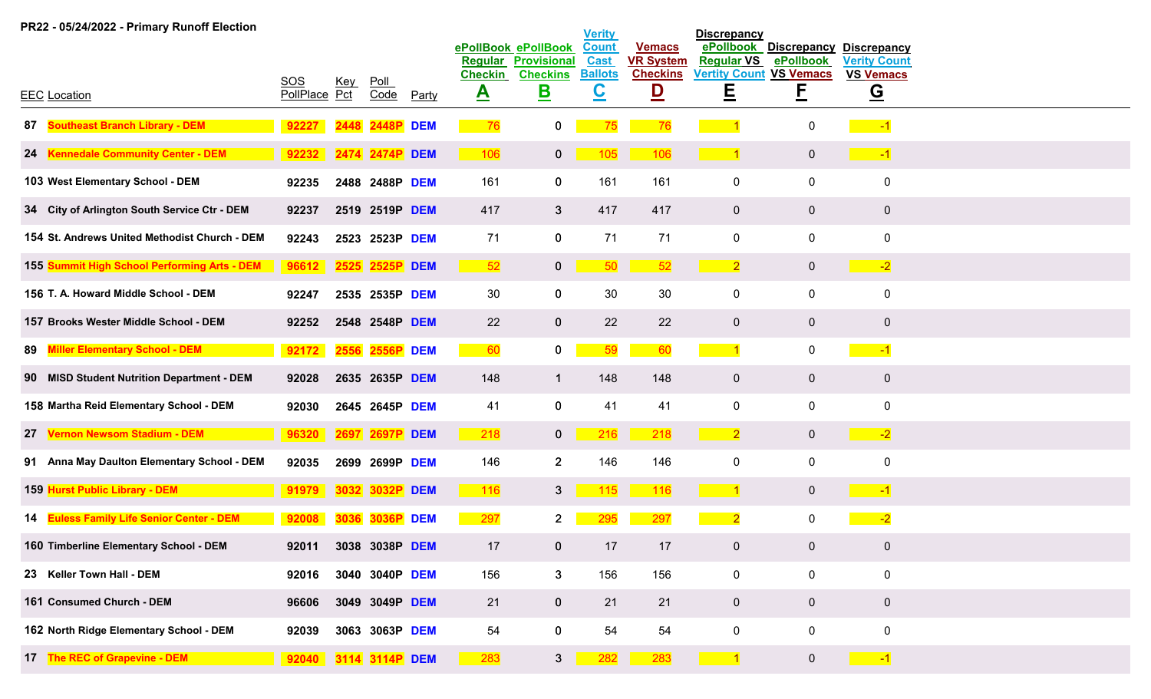|    | PR22 - 05/24/2022 - Primary Runoff Election   |                      |            |                 |              |                               |                                           | <b>Verity</b>               |                                   | <b>Discrepancy</b>             |                                 |                                           |
|----|-----------------------------------------------|----------------------|------------|-----------------|--------------|-------------------------------|-------------------------------------------|-----------------------------|-----------------------------------|--------------------------------|---------------------------------|-------------------------------------------|
|    |                                               |                      |            |                 |              | Regular                       | ePollBook ePollBook<br><b>Provisional</b> | <b>Count</b><br><b>Cast</b> | <b>Vemacs</b><br><b>VR System</b> | ePollbook<br><b>Regular VS</b> | <b>Discrepancy</b><br>ePollbook | <b>Discrepancy</b><br><b>Verity Count</b> |
|    | <b>EEC</b> Location                           | SOS<br>PollPlace Pct | <u>Key</u> | $P$ oll<br>Code | <b>Party</b> | <b>Checkin</b><br>$\triangle$ | <b>Checkins</b><br><u>B</u>               | <b>Ballots</b><br><u>င</u>  | <b>Checkins</b><br><u>D</u>       | <b>Vertity Count</b><br>E      | <b>VS Vemacs</b><br>E           | <b>VS Vemacs</b><br><u>ତ</u>              |
| 87 | <b>Southeast Branch Library - DEM</b>         | 92227                |            | 2448P           | <b>DEM</b>   | 76                            | 0                                         | 75                          | 76                                |                                | $\mathbf 0$                     | $-1$                                      |
|    | 24 Kennedale Community Center - DEM           | 92232                |            | 2474 2474P DEM  |              | $-106$                        | $\mathbf{0}$                              | 105                         | 106                               | $\sim$ 1                       | $\overline{0}$                  | $\sim$ $-1$                               |
|    | 103 West Elementary School - DEM              | 92235                |            | 2488 2488P DEM  |              | 161                           | $\mathbf 0$                               | 161                         | 161                               | $\mathbf 0$                    | $\mathbf 0$                     | $\mathbf 0$                               |
|    | 34 City of Arlington South Service Ctr - DEM  | 92237                |            | 2519 2519P DEM  |              | 417                           | $\mathbf{3}$                              | 417                         | 417                               | $\overline{0}$                 | $\mathbf 0$                     | $\overline{0}$                            |
|    | 154 St. Andrews United Methodist Church - DEM | 92243                |            | 2523 2523P DEM  |              | 71                            | $\mathbf 0$                               | 71                          | 71                                | $\mathbf 0$                    | $\mathbf 0$                     | $\mathbf 0$                               |
|    | 155 Summit High School Performing Arts - DEM  | 96612                |            | 2525 2525P DEM  |              | 52                            | 0                                         | 50                          | 52                                | $\overline{2}$                 | $\mathbf 0$                     | $-2$                                      |
|    | 156 T. A. Howard Middle School - DEM          | 92247                |            | 2535 2535P DEM  |              | 30                            | $\mathbf 0$                               | 30                          | 30                                | 0                              | 0                               | $\mathbf 0$                               |
|    | 157 Brooks Wester Middle School - DEM         | 92252                |            | 2548 2548P DEM  |              | 22                            | $\mathbf{0}$                              | 22                          | 22                                | $\overline{0}$                 | $\mathbf{0}$                    | $\overline{0}$                            |
| 89 | <b>Miller Elementary School - DEM</b>         | 92172                | 2556       | 2556P           | <b>DEM</b>   | 60                            | $\mathbf{0}$                              | 59                          | 60                                | $\blacktriangleleft$           | $\mathbf 0$                     | $-1$                                      |
|    | 90 MISD Student Nutrition Department - DEM    | 92028                |            | 2635 2635P DEM  |              | 148                           | 1                                         | 148                         | 148                               | $\overline{0}$                 | $\overline{0}$                  | $\overline{0}$                            |
|    | 158 Martha Reid Elementary School - DEM       | 92030                |            | 2645 2645P DEM  |              | 41                            | $\mathbf 0$                               | 41                          | 41                                | 0                              | 0                               | $\mathbf 0$                               |
| 27 | <b>Vernon Newsom Stadium - DEM</b>            | 96320                |            | 2697 2697P DEM  |              | 218                           | $\mathbf{0}$                              | 216                         | 218                               | $\overline{2}$                 | $\overline{0}$                  | $-2$                                      |
|    | 91 Anna May Daulton Elementary School - DEM   | 92035                |            | 2699 2699P DEM  |              | 146                           | $2^{\circ}$                               | 146                         | 146                               | 0                              | $\mathbf 0$                     | $\mathbf 0$                               |
|    | 159 Hurst Public Library - DEM                | 91979                |            | 3032 3032P DEM  |              | $-116$                        | 3 <sup>1</sup>                            | 115                         | 116                               |                                | $\overline{0}$                  | $\sim$ -1                                 |
|    | 14 Euless Family Life Senior Center - DEM     | 92008                | 3036       | 3036P DEM       |              | 297                           | 2 <sup>1</sup>                            | 295                         | 297                               | $\overline{\mathbf{2}}$        | 0                               | $-2$                                      |
|    | 160 Timberline Elementary School - DEM        | 92011                |            | 3038 3038P DEM  |              | 17                            | $\mathbf{0}$                              | 17                          | 17                                | $\overline{0}$                 | $\mathbf 0$                     | $\mathbf{0}$                              |
|    | 23 Keller Town Hall - DEM                     | 92016                |            | 3040 3040P DEM  |              | 156                           | 3 <sup>1</sup>                            | 156                         | 156                               | $\mathbf 0$                    | $\mathbf 0$                     | $\mathbf 0$                               |
|    | 161 Consumed Church - DEM                     | 96606                |            | 3049 3049P DEM  |              | 21                            | $\mathbf{0}$                              | 21                          | 21                                | $\overline{0}$                 | $\overline{0}$                  | $\mathbf 0$                               |
|    | 162 North Ridge Elementary School - DEM       | 92039                |            | 3063 3063P DEM  |              | 54                            | $\mathbf 0$                               | 54                          | 54                                | $\mathsf{O}$                   | $\mathbf 0$                     | $\mathbf 0$                               |
|    | 17 The REC of Grapevine - DEM                 | 92040 3114 3114P DEM |            |                 |              | 283                           | 3 <sup>7</sup>                            | 282                         | 283                               | $\blacktriangleleft$           | $\overline{0}$                  | $-1$                                      |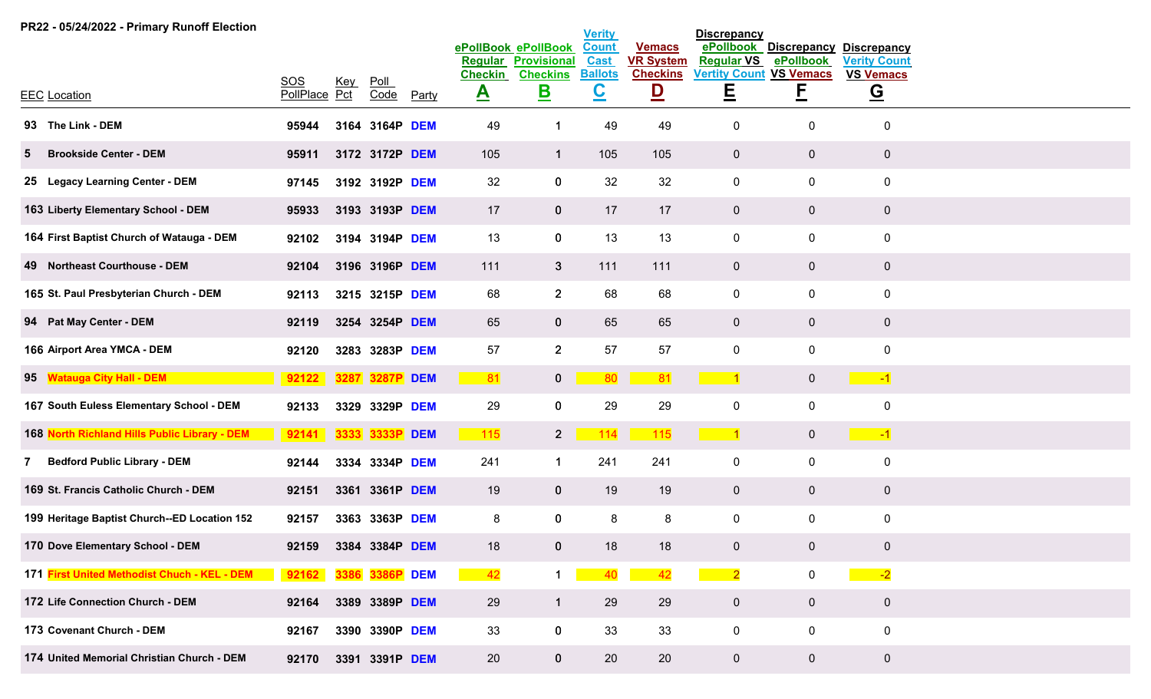| PR22 - 05/24/2022 - Primary Runoff Election   |                      |            |                 |            |                               |                                           | <b>Verity</b>                              |                                            | <b>Discrepancy</b>                  |                                 |                                           |
|-----------------------------------------------|----------------------|------------|-----------------|------------|-------------------------------|-------------------------------------------|--------------------------------------------|--------------------------------------------|-------------------------------------|---------------------------------|-------------------------------------------|
|                                               |                      |            |                 |            | Regular                       | ePollBook ePollBook<br><b>Provisional</b> | <b>Count</b><br><b>Cast</b>                | <b>Vemacs</b><br><b>VR System</b>          | ePollbook<br><b>Regular VS</b>      | <b>Discrepancy</b><br>ePollbook | <b>Discrepancy</b><br><b>Verity Count</b> |
| <b>EEC Location</b>                           | SOS<br>PollPlace Pct | <u>Key</u> | $P$ oll<br>Code |            | <b>Checkin</b><br>$\triangle$ | <b>Checkins</b><br>$\mathbf{B}$           | <b>Ballots</b><br>$\underline{\textbf{C}}$ | <b>Checkins</b><br>$\overline{\mathsf{D}}$ | <b>Vertity Count VS Vemacs</b><br>E | <u>E</u>                        | <b>VS Vemacs</b><br>$\overline{G}$        |
|                                               |                      |            |                 | Party      |                               |                                           |                                            |                                            |                                     |                                 |                                           |
| 93 The Link - DEM                             | 95944                | 3164       | 3164P           | <b>DEM</b> | 49                            | -1                                        | 49                                         | 49                                         | 0                                   | 0                               | $\mathbf 0$                               |
| <b>Brookside Center - DEM</b><br>5            | 95911                |            | 3172 3172P DEM  |            | 105                           | $\mathbf{1}$                              | 105                                        | 105                                        | $\mathbf 0$                         | $\overline{0}$                  | $\mathbf 0$                               |
| 25 Legacy Learning Center - DEM               | 97145                |            | 3192 3192P DEM  |            | 32                            | $\mathbf 0$                               | 32                                         | 32                                         | $\mathbf 0$                         | 0                               | $\pmb{0}$                                 |
| 163 Liberty Elementary School - DEM           | 95933                |            | 3193 3193P DEM  |            | 17                            | $\mathbf{0}$                              | 17                                         | 17                                         | $\overline{0}$                      | $\mathbf 0$                     | $\mathbf 0$                               |
| 164 First Baptist Church of Watauga - DEM     | 92102                |            | 3194 3194P DEM  |            | 13                            | $\mathbf 0$                               | 13                                         | 13                                         | $\mathbf 0$                         | 0                               | $\pmb{0}$                                 |
| 49 Northeast Courthouse - DEM                 | 92104                |            | 3196 3196P DEM  |            | 111                           | $\mathbf{3}$                              | 111                                        | 111                                        | $\overline{0}$                      | $\mathbf 0$                     | $\mathbf 0$                               |
| 165 St. Paul Presbyterian Church - DEM        | 92113                |            | 3215 3215P DEM  |            | 68                            | $2^{\circ}$                               | 68                                         | 68                                         | $\mathbf 0$                         | 0                               | $\pmb{0}$                                 |
| 94 Pat May Center - DEM                       | 92119                |            | 3254 3254P DEM  |            | 65                            | $\mathbf 0$                               | 65                                         | 65                                         | $\overline{0}$                      | $\overline{0}$                  | $\mathbf 0$                               |
| 166 Airport Area YMCA - DEM                   | 92120                |            | 3283 3283P DEM  |            | 57                            | $\overline{2}$                            | 57                                         | 57                                         | $\mathbf 0$                         | 0                               | $\mathbf 0$                               |
| 95 Watauga City Hall - DEM                    | 92122                |            | 3287 3287P DEM  |            | 81                            | $\mathbf{0}$                              | 80                                         | 81                                         |                                     | $\overline{0}$                  | $\sim$ -1                                 |
| 167 South Euless Elementary School - DEM      | 92133                | 3329       | 3329P DEM       |            | 29                            | $\mathbf 0$                               | 29                                         | 29                                         | $\mathsf{O}$                        | 0                               | $\mathbf 0$                               |
| 168 North Richland Hills Public Library - DEM | 92141                |            | 3333 3333P DEM  |            | 115                           | $2^{\circ}$                               | 114                                        | 115                                        | $\sim$ 1                            | $\overline{0}$                  | $\sim$ $-1$                               |
| <b>Bedford Public Library - DEM</b><br>7      | 92144                |            | 3334 3334P DEM  |            | 241                           | $\mathbf 1$                               | 241                                        | 241                                        | $\mathbf 0$                         | 0                               | $\pmb{0}$                                 |
| 169 St. Francis Catholic Church - DEM         | 92151                |            | 3361 3361P DEM  |            | 19                            | $\mathbf 0$                               | 19                                         | 19                                         | $\overline{0}$                      | $\overline{0}$                  | $\mathbf 0$                               |
| 199 Heritage Baptist Church--ED Location 152  | 92157                |            | 3363 3363P DEM  |            | 8                             | $\mathbf 0$                               | 8                                          | 8                                          | $\mathsf{O}$                        | 0                               | $\pmb{0}$                                 |
| 170 Dove Elementary School - DEM              | 92159                |            | 3384 3384P DEM  |            | 18                            | 0                                         | 18                                         | 18                                         | 0                                   | $\mathbf 0$                     | $\pmb{0}$                                 |
| 171 First United Methodist Chuch - KEL - DEM  | 92162                |            | 3386 3386P DEM  |            | 42                            | $\mathbf 1$                               | 40                                         | 42                                         | $\overline{2}$<br><b>Contract</b>   | $\mathbf 0$                     | $-2$                                      |
| 172 Life Connection Church - DEM              | 92164                |            | 3389 3389P DEM  |            | 29                            | $\mathbf{1}$                              | 29                                         | 29                                         | $\overline{0}$                      | $\overline{0}$                  | $\mathbf 0$                               |
| 173 Covenant Church - DEM                     | 92167                |            | 3390 3390P DEM  |            | 33                            | $\bf{0}$                                  | 33                                         | 33                                         | $\mathbf 0$                         | $\mathbf 0$                     | $\pmb{0}$                                 |
| 174 United Memorial Christian Church - DEM    | 92170                |            | 3391 3391P DEM  |            | 20                            | $\mathbf{0}$                              | 20                                         | 20                                         | $\overline{0}$                      | $\overline{0}$                  | $\overline{0}$                            |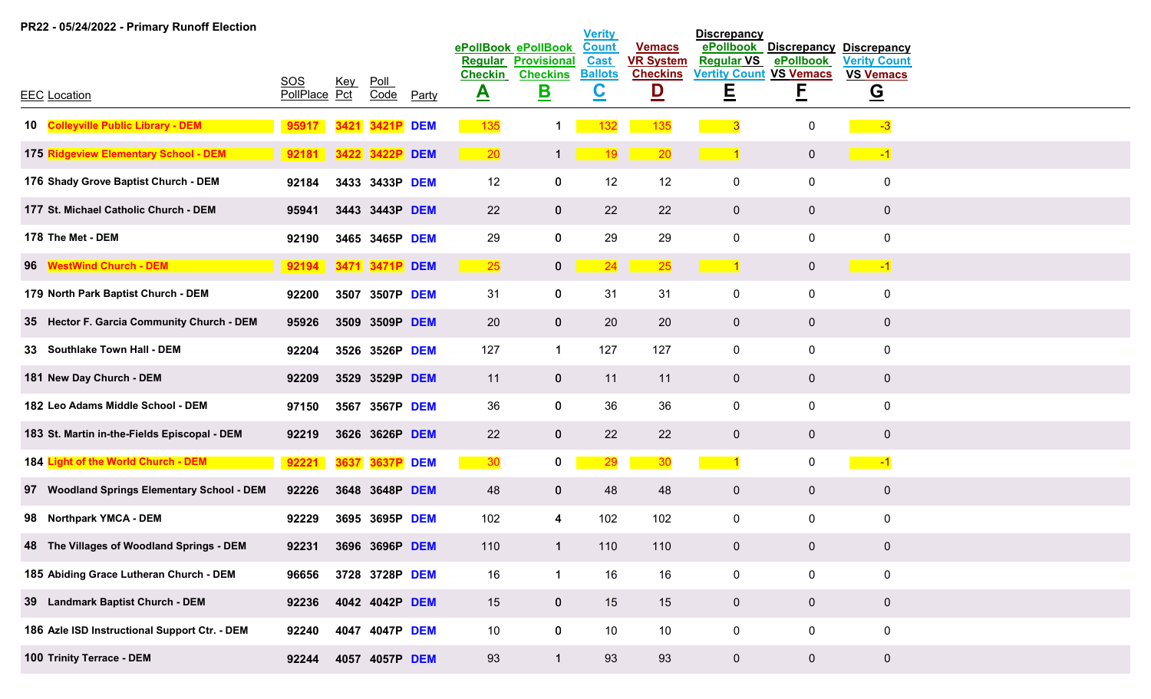| PR22 - 05/24/2022 - Primary Runoff Election   |                      |            |                 |              |                             |                                           | <b>Verity</b>                              |                                   | <b>Discrepancy</b>                         |                                 |                                           |  |
|-----------------------------------------------|----------------------|------------|-----------------|--------------|-----------------------------|-------------------------------------------|--------------------------------------------|-----------------------------------|--------------------------------------------|---------------------------------|-------------------------------------------|--|
|                                               |                      |            |                 |              | <b>Regular</b>              | ePollBook ePollBook<br><b>Provisional</b> | <b>Count</b><br><b>Cast</b>                | <b>Vemacs</b><br><b>VR System</b> | ePollbook<br><b>Regular VS</b>             | <b>Discrepancy</b><br>ePollbook | <b>Discrepancy</b><br><b>Verity Count</b> |  |
| <b>EEC</b> Location                           | SOS<br>PollPlace Pct | <u>Key</u> | $P$ oll<br>Code | <b>Party</b> | <b>Checkin</b><br><u>A</u>  | <b>Checkins</b><br><u>B</u>               | <b>Ballots</b><br>$\underline{\mathbf{C}}$ | <b>Checkins</b><br><u>D</u>       | <b>Vertity Count VS Vemacs</b><br><u>트</u> | F                               | <b>VS Vemacs</b><br>$\overline{G}$        |  |
|                                               |                      |            |                 |              |                             |                                           |                                            |                                   |                                            |                                 |                                           |  |
| 10 Colleyville Public Library - DEM           | 95917                |            | 3421P           | <b>DEM</b>   | 135                         |                                           | 132                                        | 135                               |                                            | 0                               | $-3$                                      |  |
| 175 Ridgeview Elementary School - DEM         | 92181                |            | 3422 3422P DEM  |              | $\overline{\phantom{0}}$ 20 | $\mathbf{1}$                              | 19                                         | 20                                | $\sim$ 1                                   | $\overline{0}$                  | $\sim$ $-1$                               |  |
| 176 Shady Grove Baptist Church - DEM          | 92184                |            | 3433 3433P DEM  |              | 12                          | $\mathbf 0$                               | 12                                         | 12                                | 0                                          | 0                               | $\mathbf 0$                               |  |
| 177 St. Michael Catholic Church - DEM         | 95941                |            | 3443 3443P DEM  |              | 22                          | $\mathbf{0}$                              | 22                                         | 22                                | $\mathbf 0$                                | $\overline{0}$                  | $\mathbf{0}$                              |  |
| 178 The Met - DEM                             | 92190                |            | 3465 3465P DEM  |              | 29                          | $\mathbf 0$                               | 29                                         | 29                                | 0                                          | $\mathbf 0$                     | $\mathbf 0$                               |  |
| 96 WestWind Church - DEM                      | 92194                |            | 3471 3471P DEM  |              | <b>25</b>                   | $\mathbf{0}$                              | 24                                         | 25                                |                                            | $\overline{0}$                  | $\sim$ -1                                 |  |
| 179 North Park Baptist Church - DEM           | 92200                |            | 3507 3507P DEM  |              | 31                          | $\mathbf 0$                               | 31                                         | 31                                | $\pmb{0}$                                  | $\mathbf 0$                     | $\mathbf 0$                               |  |
| 35 Hector F. Garcia Community Church - DEM    | 95926                |            | 3509 3509P DEM  |              | 20                          | $\mathbf{0}$                              | 20                                         | 20                                | $\mathbf 0$                                | $\overline{0}$                  | $\mathbf{0}$                              |  |
| 33 Southlake Town Hall - DEM                  | 92204                |            | 3526 3526P DEM  |              | 127                         | $\mathbf 1$                               | 127                                        | 127                               | 0                                          | $\mathbf 0$                     | $\mathbf 0$                               |  |
| 181 New Day Church - DEM                      | 92209                |            | 3529 3529P DEM  |              | 11                          | $\mathbf{0}$                              | 11                                         | 11                                | $\mathbf 0$                                | $\mathbf{0}$                    | $\overline{0}$                            |  |
| 182 Leo Adams Middle School - DEM             | 97150                |            | 3567 3567P DEM  |              | 36                          | $\mathbf 0$                               | 36                                         | 36                                | 0                                          | $\mathbf 0$                     | $\mathbf 0$                               |  |
| 183 St. Martin in-the-Fields Episcopal - DEM  | 92219                |            | 3626 3626P DEM  |              | 22                          | $\mathbf{0}$                              | 22                                         | 22                                | $\mathbf 0$                                | $\overline{0}$                  | $\overline{0}$                            |  |
| 184 Light of the World Church - DEM           | 92221                | 3637       | 3637P           | <b>DEM</b>   | 30                          | $\mathbf{0}$                              | 29                                         | 30                                |                                            | 0                               | $-1$                                      |  |
| 97 Woodland Springs Elementary School - DEM   | 92226                |            | 3648 3648P DEM  |              | 48                          | $\mathbf{0}$                              | 48                                         | 48                                | $\pmb{0}$                                  | $\overline{0}$                  | $\mathbf{0}$                              |  |
| 98 Northpark YMCA - DEM                       | 92229                |            | 3695 3695P DEM  |              | 102                         | 4                                         | 102                                        | 102                               | $\pmb{0}$                                  | $\mathbf 0$                     | $\mathbf 0$                               |  |
| 48 The Villages of Woodland Springs - DEM     | 92231                |            | 3696 3696P DEM  |              | 110                         | $\mathbf{1}$                              | 110                                        | 110                               | $\mathbf 0$                                | $\mathbf{0}$                    | $\mathbf{0}$                              |  |
| 185 Abiding Grace Lutheran Church - DEM       | 96656                |            | 3728 3728P DEM  |              | 16                          | $\mathbf{1}$                              | 16                                         | 16                                | $\mathbf 0$                                | $\mathbf 0$                     | $\mathbf 0$                               |  |
| 39 Landmark Baptist Church - DEM              | 92236                |            | 4042 4042P DEM  |              | 15                          | $\mathbf{0}$                              | 15                                         | 15                                | $\mathbf{0}$                               | $\mathbf 0$                     | $\overline{0}$                            |  |
| 186 Azle ISD Instructional Support Ctr. - DEM | 92240                |            | 4047 4047P DEM  |              | 10                          | $\mathbf 0$                               | 10                                         | 10                                | $\pmb{0}$                                  | $\mathbf 0$                     | $\mathbf 0$                               |  |
| 100 Trinity Terrace - DEM                     | 92244                |            | 4057 4057P DEM  |              | 93                          | $\blacktriangleleft$                      | 93                                         | 93                                | $\mathbf 0$                                | $\mathbf{0}$                    | $\mathbf 0$                               |  |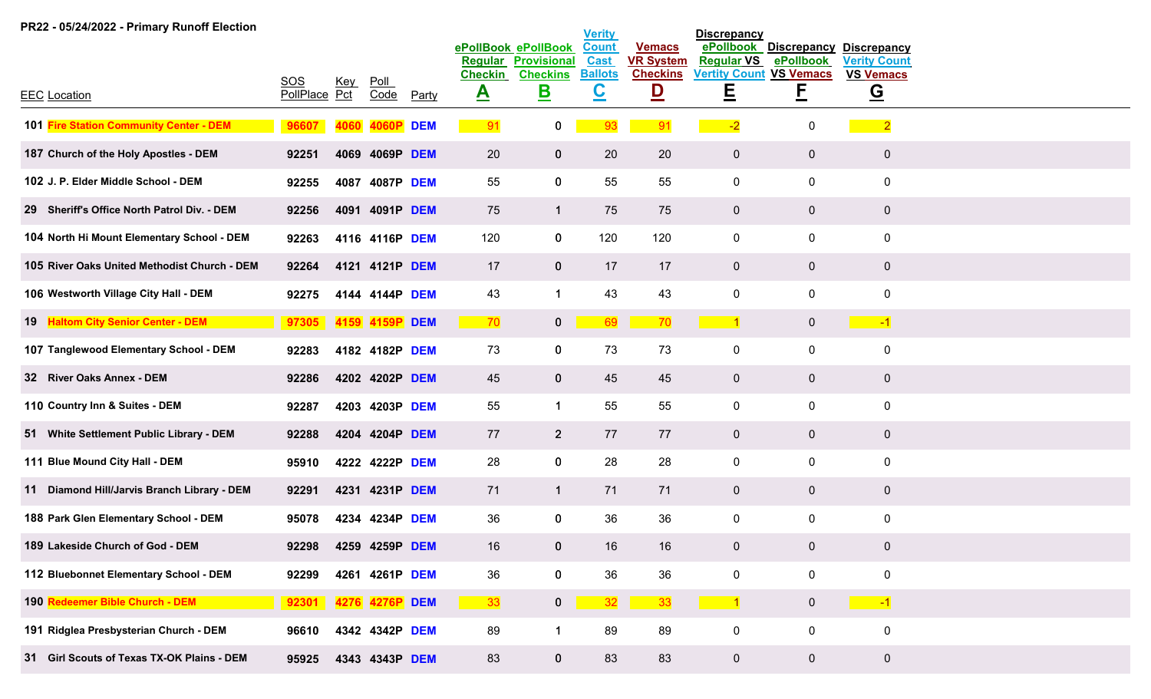| PR22 - 05/24/2022 - Primary Runoff Election  |                      |            |                     |              |                                |                                           | <b>Verity</b>               |                                   | <b>Discrepancy</b>                  |                                 |                                           |
|----------------------------------------------|----------------------|------------|---------------------|--------------|--------------------------------|-------------------------------------------|-----------------------------|-----------------------------------|-------------------------------------|---------------------------------|-------------------------------------------|
|                                              |                      |            |                     |              | <b>Regular</b>                 | ePollBook ePollBook<br><b>Provisional</b> | <b>Count</b><br><b>Cast</b> | <b>Vemacs</b><br><b>VR System</b> | ePollbook<br><b>Regular VS</b>      | <b>Discrepancy</b><br>ePollbook | <b>Discrepancy</b><br><b>Verity Count</b> |
| <b>EEC Location</b>                          | SOS<br>PollPlace Pct | <u>Key</u> | <u>Poll</u><br>Code | <b>Party</b> | <b>Checkin</b><br>$\mathbf{A}$ | <b>Checkins</b><br><u>B</u>               | <b>Ballots</b><br><u>င</u>  | <b>Checkins</b><br><u>D</u>       | <b>Vertity Count VS Vemacs</b><br>Ε | F                               | <b>VS Vemacs</b><br><u>ତ</u>              |
| 101 Fire Station Community Center - DEM      | 96607                |            | 4060P               | <b>DEM</b>   | 91                             | $\mathbf 0$                               | 93                          | 91                                | $-2$                                | 0                               | $\overline{\phantom{2}}$                  |
| 187 Church of the Holy Apostles - DEM        | 92251                |            | 4069 4069P DEM      |              | 20                             | $\mathbf 0$                               | 20                          | 20                                | $\mathbf{0}$                        | $\overline{0}$                  | $\pmb{0}$                                 |
| 102 J. P. Elder Middle School - DEM          | 92255                | 4087       | 4087P DEM           |              | 55                             | $\mathbf 0$                               | 55                          | 55                                | 0                                   | $\mathbf 0$                     | $\pmb{0}$                                 |
| 29 Sheriff's Office North Patrol Div. - DEM  | 92256                |            | 4091 4091P DEM      |              | 75                             | $\mathbf{1}$                              | 75                          | 75                                | $\mathbf{0}$                        | $\overline{0}$                  | $\pmb{0}$                                 |
| 104 North Hi Mount Elementary School - DEM   | 92263                |            | 4116 4116P DEM      |              | 120                            | $\mathbf 0$                               | 120                         | 120                               | $\mathsf{O}$                        | $\mathbf 0$                     | $\pmb{0}$                                 |
| 105 River Oaks United Methodist Church - DEM | 92264                |            | 4121 4121P DEM      |              | 17                             | $\mathbf 0$                               | 17                          | 17                                | $\overline{0}$                      | $\overline{0}$                  | $\pmb{0}$                                 |
| 106 Westworth Village City Hall - DEM        | 92275                |            | 4144 4144P DEM      |              | 43                             | $\mathbf{1}$                              | 43                          | 43                                | $\mathbf 0$                         | $\mathbf 0$                     | $\pmb{0}$                                 |
| 19 Haltom City Senior Center - DEM           | 97305                |            | 4159 4159P DEM      |              | 70                             | $\mathbf{0}$                              | 69                          | 70                                | $\vert$ 1                           | $\overline{0}$                  | $\sim$ $-1$                               |
| 107 Tanglewood Elementary School - DEM       | 92283                |            | 4182 4182P DEM      |              | 73                             | $\mathbf 0$                               | 73                          | 73                                | $\mathsf{O}$                        | $\mathbf 0$                     | $\pmb{0}$                                 |
| 32 River Oaks Annex - DEM                    | 92286                |            | 4202 4202P DEM      |              | 45                             | $\mathbf{0}$                              | 45                          | 45                                | $\mathbf{0}$                        | $\mathbf{0}$                    | $\pmb{0}$                                 |
| 110 Country Inn & Suites - DEM               | 92287                |            | 4203 4203P DEM      |              | 55                             | $\mathbf{1}$                              | 55                          | 55                                | $\mathbf 0$                         | $\mathbf 0$                     | $\pmb{0}$                                 |
| 51 White Settlement Public Library - DEM     | 92288                |            | 4204 4204P DEM      |              | 77                             | $\overline{2}$                            | 77                          | 77                                | $\overline{0}$                      | $\overline{0}$                  | $\mathbf 0$                               |
| 111 Blue Mound City Hall - DEM               | 95910                |            | 4222 4222P DEM      |              | 28                             | $\mathbf 0$                               | 28                          | 28                                | $\mathbf 0$                         | $\mathbf 0$                     | $\pmb{0}$                                 |
| 11 Diamond Hill/Jarvis Branch Library - DEM  | 92291                |            | 4231 4231P DEM      |              | 71                             | $\mathbf{1}$                              | 71                          | 71                                | $\overline{0}$                      | $\overline{0}$                  | $\bf{0}$                                  |
| 188 Park Glen Elementary School - DEM        | 95078                |            | 4234 4234P DEM      |              | 36                             | $\bf{0}$                                  | 36                          | 36                                | $\mathbf 0$                         | $\mathbf 0$                     | $\pmb{0}$                                 |
| 189 Lakeside Church of God - DEM             | 92298                |            | 4259 4259P DEM      |              | 16                             | $\mathbf 0$                               | 16                          | 16                                | $\mathbf{0}$                        | $\pmb{0}$                       | $\pmb{0}$                                 |
| 112 Bluebonnet Elementary School - DEM       | 92299                |            | 4261 4261P DEM      |              | 36                             | $\pmb{0}$                                 | 36                          | 36                                | $\mathbf 0$                         | $\mathbf 0$                     | $\pmb{0}$                                 |
| 190 Redeemer Bible Church - DEM              | 92301                |            | 4276 4276P DEM      |              | 33                             | $\mathbf{0}$                              | 32                          | 33                                | $\blacksquare$ 1                    | $\overline{0}$                  | $\sim$ -1                                 |
| 191 Ridglea Presbysterian Church - DEM       | 96610                |            | 4342 4342P DEM      |              | 89                             | $\mathbf{1}$                              | 89                          | 89                                | $\mathbf 0$                         | $\mathbf 0$                     | $\pmb{0}$                                 |
| 31 Girl Scouts of Texas TX-OK Plains - DEM   | 95925                |            | 4343 4343P DEM      |              | 83                             | $\mathbf 0$                               | 83                          | 83                                | $\mathbf 0$                         | $\overline{0}$                  | $\mathbf 0$                               |